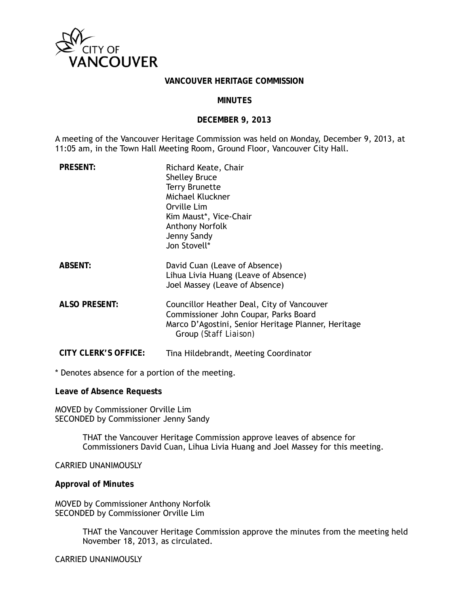

#### **VANCOUVER HERITAGE COMMISSION**

#### **MINUTES**

#### **DECEMBER 9, 2013**

A meeting of the Vancouver Heritage Commission was held on Monday, December 9, 2013, at 11:05 am, in the Town Hall Meeting Room, Ground Floor, Vancouver City Hall.

| <b>PRESENT:</b>             | Richard Keate, Chair<br><b>Shelley Bruce</b><br><b>Terry Brunette</b><br>Michael Kluckner<br>Orville Lim<br>Kim Maust*, Vice-Chair<br>Anthony Norfolk<br>Jenny Sandy<br>Jon Stovell* |
|-----------------------------|--------------------------------------------------------------------------------------------------------------------------------------------------------------------------------------|
| <b>ABSENT:</b>              | David Cuan (Leave of Absence)<br>Lihua Livia Huang (Leave of Absence)<br>Joel Massey (Leave of Absence)                                                                              |
| <b>ALSO PRESENT:</b>        | Councillor Heather Deal, City of Vancouver<br>Commissioner John Coupar, Parks Board<br>Marco D'Agostini, Senior Heritage Planner, Heritage<br>Group <i>(Staff Liaison)</i>           |
| <b>CITY CLERK'S OFFICE:</b> | Tina Hildebrandt, Meeting Coordinator                                                                                                                                                |

\* Denotes absence for a portion of the meeting.

**Leave of Absence Requests** 

MOVED by Commissioner Orville Lim SECONDED by Commissioner Jenny Sandy

> THAT the Vancouver Heritage Commission approve leaves of absence for Commissioners David Cuan, Lihua Livia Huang and Joel Massey for this meeting.

CARRIED UNANIMOUSLY

**Approval of Minutes** 

MOVED by Commissioner Anthony Norfolk SECONDED by Commissioner Orville Lim

> THAT the Vancouver Heritage Commission approve the minutes from the meeting held November 18, 2013, as circulated.

CARRIED UNANIMOUSLY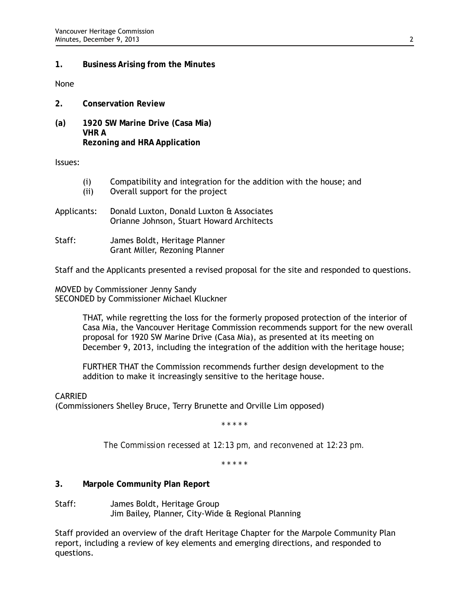## **1. Business Arising from the Minutes**

None

- **2. Conservation Review**
- **(a) 1920 SW Marine Drive (Casa Mia) VHR A Rezoning and HRA Application**

Issues:

- (i) Compatibility and integration for the addition with the house; and
- (ii) Overall support for the project
- Applicants: Donald Luxton, Donald Luxton & Associates Orianne Johnson, Stuart Howard Architects
- Staff: James Boldt, Heritage Planner Grant Miller, Rezoning Planner

Staff and the Applicants presented a revised proposal for the site and responded to questions.

MOVED by Commissioner Jenny Sandy SECONDED by Commissioner Michael Kluckner

> THAT, while regretting the loss for the formerly proposed protection of the interior of Casa Mia, the Vancouver Heritage Commission recommends support for the new overall proposal for 1920 SW Marine Drive (Casa Mia), as presented at its meeting on December 9, 2013, including the integration of the addition with the heritage house;

FURTHER THAT the Commission recommends further design development to the addition to make it increasingly sensitive to the heritage house.

CARRIED

(Commissioners Shelley Bruce, Terry Brunette and Orville Lim opposed)

*\* \* \* \* \** 

*The Commission recessed at 12:13 pm, and reconvened at 12:23 pm.* 

*\* \* \* \* \** 

**3. Marpole Community Plan Report** 

Staff: James Boldt, Heritage Group Jim Bailey, Planner, City-Wide & Regional Planning

Staff provided an overview of the draft Heritage Chapter for the Marpole Community Plan report, including a review of key elements and emerging directions, and responded to questions.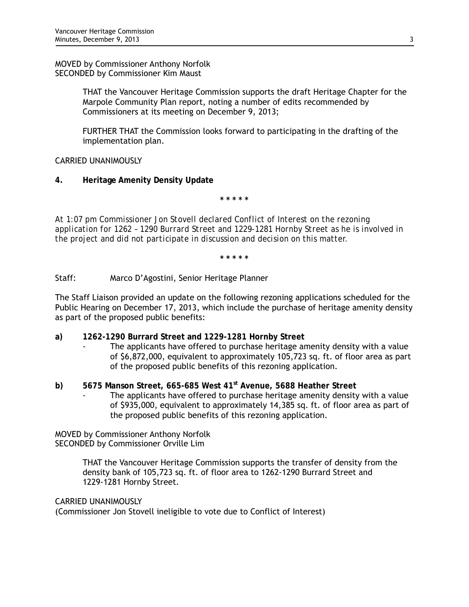MOVED by Commissioner Anthony Norfolk SECONDED by Commissioner Kim Maust

> THAT the Vancouver Heritage Commission supports the draft Heritage Chapter for the Marpole Community Plan report, noting a number of edits recommended by Commissioners at its meeting on December 9, 2013;

FURTHER THAT the Commission looks forward to participating in the drafting of the implementation plan.

CARRIED UNANIMOUSLY

**4. Heritage Amenity Density Update** 

**\* \* \* \* \*** 

*At 1:07 pm Commissioner Jon Stovell declared Conflict of Interest on the rezoning application for 1262 – 1290 Burrard Street and 1229-1281 Hornby Street as he is involved in the project and did not participate in discussion and decision on this matter.* 

**\* \* \* \* \*** 

Staff: Marco D'Agostini, Senior Heritage Planner

The Staff Liaison provided an update on the following rezoning applications scheduled for the Public Hearing on December 17, 2013, which include the purchase of heritage amenity density as part of the proposed public benefits:

- **a) 1262-1290 Burrard Street and 1229-1281 Hornby Street** 
	- The applicants have offered to purchase heritage amenity density with a value of \$6,872,000, equivalent to approximately 105,723 sq. ft. of floor area as part of the proposed public benefits of this rezoning application.
- **b) 5675 Manson Street, 665-685 West 41st Avenue, 5688 Heather Street**  The applicants have offered to purchase heritage amenity density with a value of \$935,000, equivalent to approximately 14,385 sq. ft. of floor area as part of the proposed public benefits of this rezoning application.

MOVED by Commissioner Anthony Norfolk SECONDED by Commissioner Orville Lim

> THAT the Vancouver Heritage Commission supports the transfer of density from the density bank of 105,723 sq. ft. of floor area to 1262-1290 Burrard Street and 1229-1281 Hornby Street.

# CARRIED UNANIMOUSLY

(Commissioner Jon Stovell ineligible to vote due to Conflict of Interest)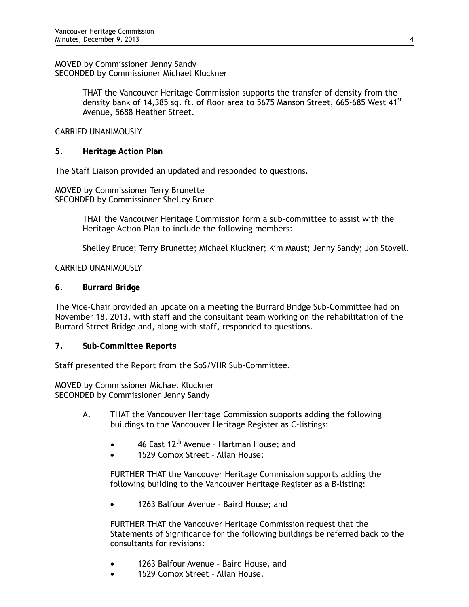MOVED by Commissioner Jenny Sandy SECONDED by Commissioner Michael Kluckner

> THAT the Vancouver Heritage Commission supports the transfer of density from the density bank of 14,385 sq. ft. of floor area to 5675 Manson Street, 665-685 West 41<sup>st</sup> Avenue, 5688 Heather Street.

### CARRIED UNANIMOUSLY

**5. Heritage Action Plan** 

The Staff Liaison provided an updated and responded to questions.

MOVED by Commissioner Terry Brunette SECONDED by Commissioner Shelley Bruce

> THAT the Vancouver Heritage Commission form a sub-committee to assist with the Heritage Action Plan to include the following members:

Shelley Bruce; Terry Brunette; Michael Kluckner; Kim Maust; Jenny Sandy; Jon Stovell.

### CARRIED UNANIMOUSLY

**6. Burrard Bridge** 

The Vice-Chair provided an update on a meeting the Burrard Bridge Sub-Committee had on November 18, 2013, with staff and the consultant team working on the rehabilitation of the Burrard Street Bridge and, along with staff, responded to questions.

**7. Sub-Committee Reports** 

Staff presented the Report from the SoS/VHR Sub-Committee.

MOVED by Commissioner Michael Kluckner SECONDED by Commissioner Jenny Sandy

- A. THAT the Vancouver Heritage Commission supports adding the following buildings to the Vancouver Heritage Register as C-listings:
	- 46 East 12<sup>th</sup> Avenue Hartman House; and
	- 1529 Comox Street Allan House;

FURTHER THAT the Vancouver Heritage Commission supports adding the following building to the Vancouver Heritage Register as a B-listing:

1263 Balfour Avenue – Baird House; and

FURTHER THAT the Vancouver Heritage Commission request that the Statements of Significance for the following buildings be referred back to the consultants for revisions:

- 1263 Balfour Avenue Baird House, and
- 1529 Comox Street Allan House.